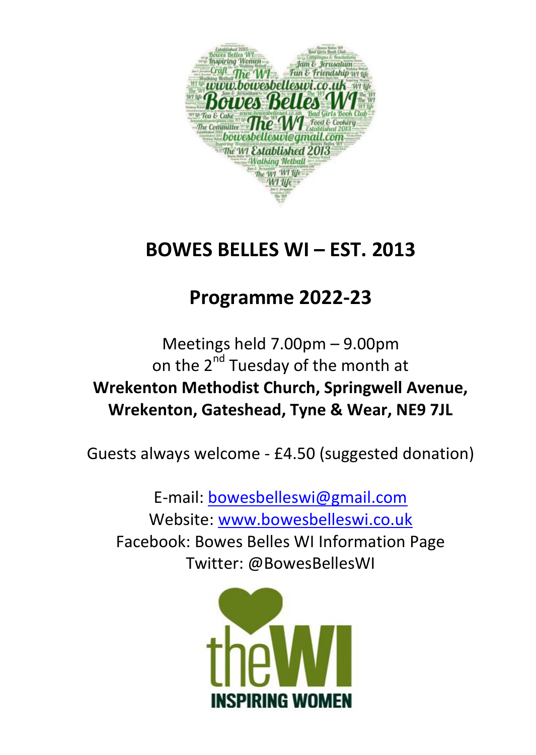

# **BOWES BELLES WI – EST. 2013**

## **Programme 2022-23**

Meetings held 7.00pm – 9.00pm on the  $2^{nd}$  Tuesday of the month at **Wrekenton Methodist Church, Springwell Avenue, Wrekenton, Gateshead, Tyne & Wear, NE9 7JL**

Guests always welcome - £4.50 (suggested donation)

E-mail[: bowesbelleswi@gmail.com](mailto:bowesbelleswi@gmail.com) Website: [www.bowesbelleswi.co.uk](http://www.bowesbelleswi.co.uk/) Facebook: Bowes Belles WI Information Page Twitter: @BowesBellesWI

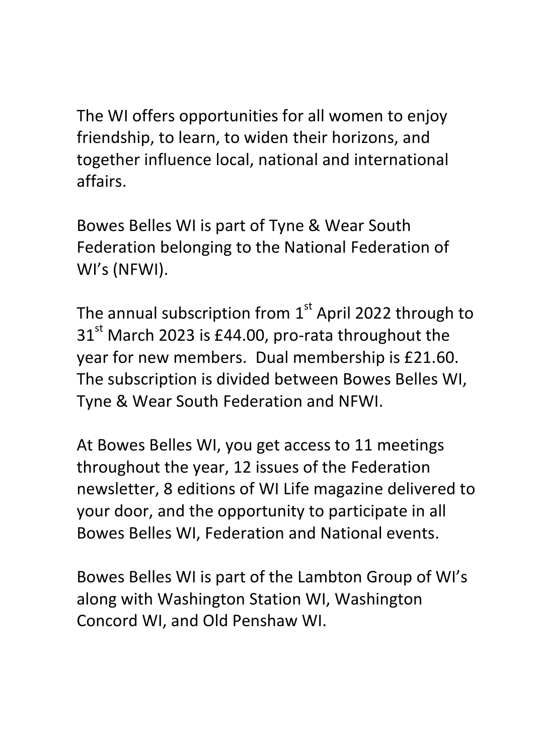The WI offers opportunities for all women to enjoy friendship, to learn, to widen their horizons, and together influence local, national and international affairs.

Bowes Belles WI is part of Tyne & Wear South Federation belonging to the National Federation of WI's (NFWI).

The annual subscription from  $1<sup>st</sup>$  April 2022 through to  $31<sup>st</sup>$  March 2023 is £44.00, pro-rata throughout the year for new members. Dual membership is £21.60. The subscription is divided between Bowes Belles WI, Tyne & Wear South Federation and NFWI.

At Bowes Belles WI, you get access to 11 meetings throughout the year, 12 issues of the Federation newsletter, 8 editions of WI Life magazine delivered to your door, and the opportunity to participate in all Bowes Belles WI, Federation and National events.

Bowes Belles WI is part of the Lambton Group of WI's along with Washington Station WI, Washington Concord WI, and Old Penshaw WI.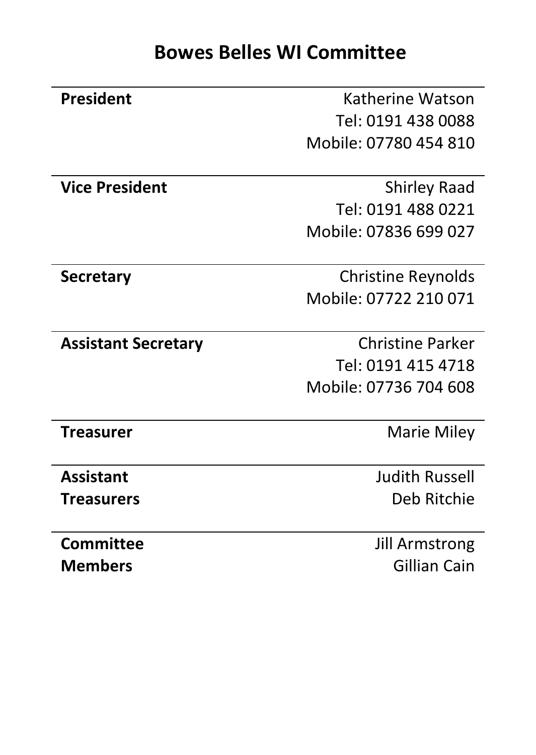| <b>President</b>           | Katherine Watson      |
|----------------------------|-----------------------|
|                            | Tel: 0191 438 0088    |
|                            | Mobile: 07780 454 810 |
|                            |                       |
| <b>Vice President</b>      | Shirley Raad          |
|                            | Tel: 0191 488 0221    |
|                            | Mobile: 07836 699 027 |
|                            |                       |
| <b>Secretary</b>           | Christine Reynolds    |
|                            | Mobile: 07722 210 071 |
|                            |                       |
| <b>Assistant Secretary</b> | Christine Parker      |
|                            | Tel: 0191 415 4718    |
|                            | Mobile: 07736 704 608 |
|                            |                       |
| <b>Treasurer</b>           | Marie Miley           |
|                            |                       |
| <b>Assistant</b>           | Judith Russell        |
| Treasurers                 | Deb Ritchie           |
|                            |                       |
| Committee                  | <b>Jill Armstrong</b> |
| Members                    |                       |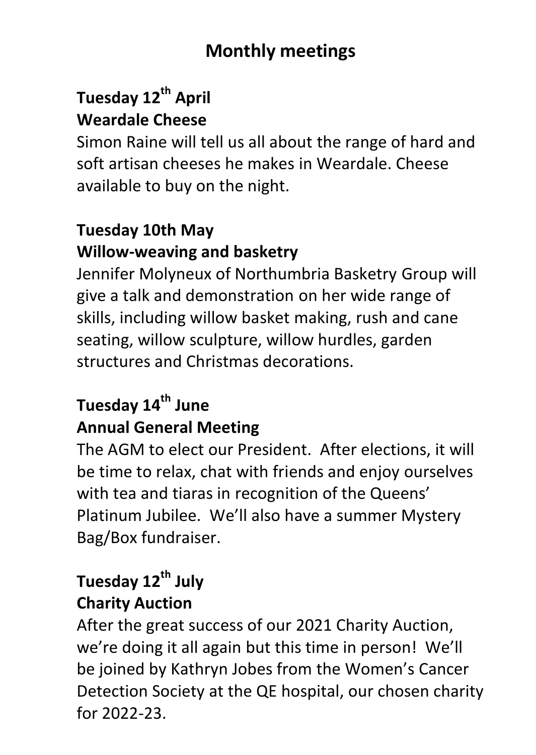## **Monthly meetings**

## **Tuesday 12 th April Weardale Cheese**

Simon Raine will tell us all about the range of hard and soft artisan cheeses he makes in Weardale. Cheese available to buy on the night.

#### **Tuesday 10th May Willow-weaving and basketry**

Jennifer Molyneux of Northumbria Basketry Group will give a talk and demonstration on her wide range of skills, including willow basket making, rush and cane seating, willow sculpture, willow hurdles, garden structures and Christmas decorations.

# **Tuesday 14th June Annual General Meeting**

The AGM to elect our President. After elections, it will be time to relax, chat with friends and enjoy ourselves with tea and tiaras in recognition of the Queens' Platinum Jubilee. We'll also have a summer Mystery Bag/Box fundraiser.

## **Tuesday 12th July Charity Auction**

After the great success of our 2021 Charity Auction, we're doing it all again but this time in person! We'll be joined by Kathryn Jobes from the Women's Cancer Detection Society at the QE hospital, our chosen charity for 2022-23.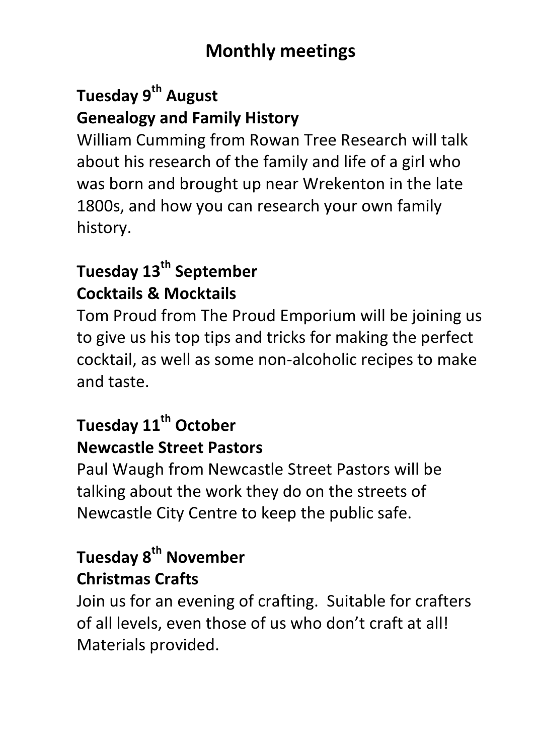## **Monthly meetings**

## **Tuesday 9th August Genealogy and Family History**

William Cumming from Rowan Tree Research will talk about his research of the family and life of a girl who was born and brought up near Wrekenton in the late 1800s, and how you can research your own family history.

## **Tuesday 13th September Cocktails & Mocktails**

Tom Proud from The Proud Emporium will be joining us to give us his top tips and tricks for making the perfect cocktail, as well as some non-alcoholic recipes to make and taste.

## **Tuesday 11th October Newcastle Street Pastors**

Paul Waugh from Newcastle Street Pastors will be talking about the work they do on the streets of Newcastle City Centre to keep the public safe.

## **Tuesday 8th November Christmas Crafts**

Join us for an evening of crafting. Suitable for crafters of all levels, even those of us who don't craft at all! Materials provided.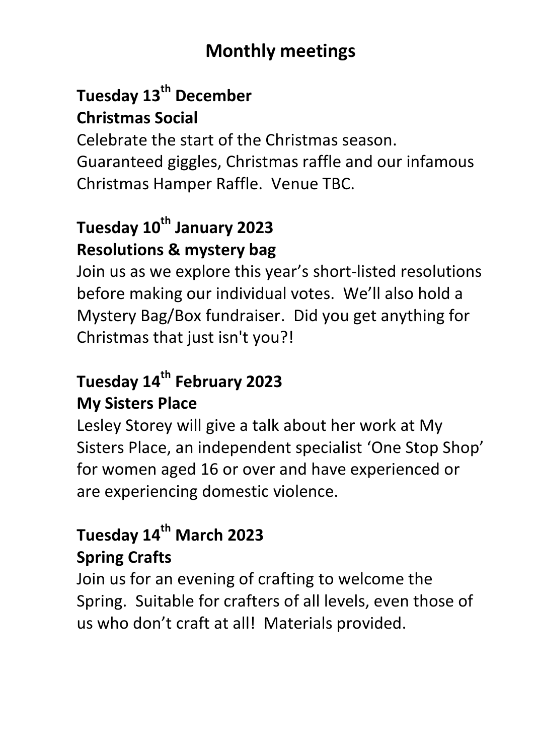## **Monthly meetings**

## **Tuesday 13th December Christmas Social**

Celebrate the start of the Christmas season. Guaranteed giggles, Christmas raffle and our infamous Christmas Hamper Raffle. Venue TBC.

## **Tuesday 10th January 2023 Resolutions & mystery bag**

Join us as we explore this year's short-listed resolutions before making our individual votes. We'll also hold a Mystery Bag/Box fundraiser. Did you get anything for Christmas that just isn't you?!

#### **Tuesday 14th February 2023 My Sisters Place**

Lesley Storey will give a talk about her work at My Sisters Place, an independent specialist 'One Stop Shop' for women aged 16 or over and have experienced or are experiencing domestic violence.

## **Tuesday 14th March 2023 Spring Crafts**

Join us for an evening of crafting to welcome the Spring. Suitable for crafters of all levels, even those of us who don't craft at all! Materials provided.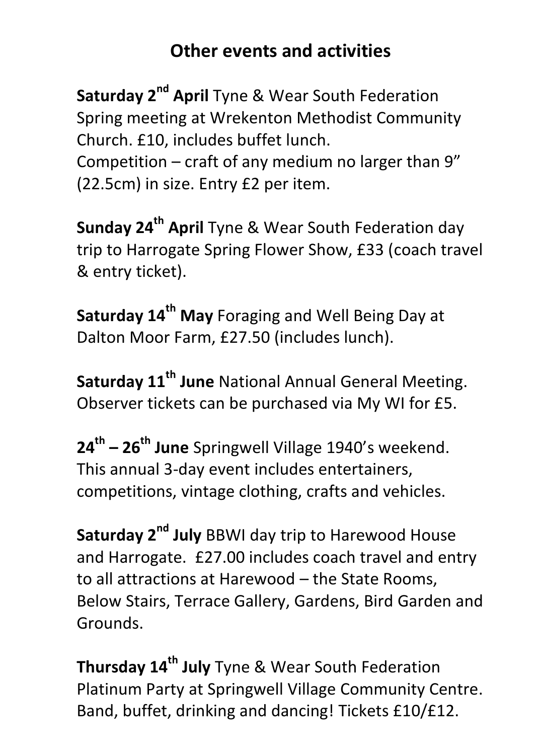## **Other events and activities**

**Saturday 2nd April** Tyne & Wear South Federation Spring meeting at Wrekenton Methodist Community Church. £10, includes buffet lunch. Competition – craft of any medium no larger than 9" (22.5cm) in size. Entry £2 per item.

**Sunday 24 th April** Tyne & Wear South Federation day trip to Harrogate Spring Flower Show, £33 (coach travel & entry ticket).

**Saturday 14th May** Foraging and Well Being Day at Dalton Moor Farm, £27.50 (includes lunch).

**Saturday 11th June** National Annual General Meeting. Observer tickets can be purchased via My WI for £5.

**24th – 26 th June** Springwell Village 1940's weekend. This annual 3-day event includes entertainers, competitions, vintage clothing, crafts and vehicles.

**Saturday 2nd July** BBWI day trip to Harewood House and Harrogate. £27.00 includes coach travel and entry to all attractions at Harewood – the State Rooms, Below Stairs, Terrace Gallery, Gardens, Bird Garden and Grounds.

**Thursday 14th July** Tyne & Wear South Federation Platinum Party at Springwell Village Community Centre. Band, buffet, drinking and dancing! Tickets £10/£12.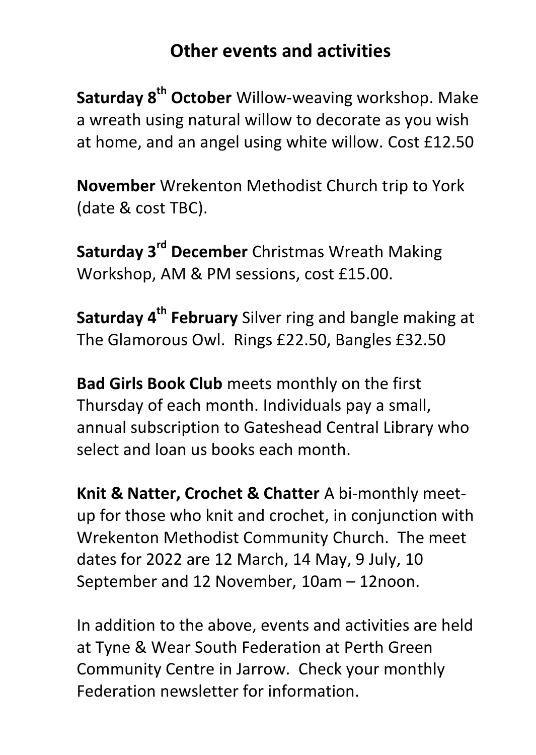#### **Other events and activities**

**Saturday 8 th October** Willow-weaving workshop. Make a wreath using natural willow to decorate as you wish at home, and an angel using white willow. Cost £12.50

**November** Wrekenton Methodist Church trip to York (date & cost TBC).

**Saturday 3rd December** Christmas Wreath Making Workshop, AM & PM sessions, cost £15.00.

**Saturday 4 th February** Silver ring and bangle making at The Glamorous Owl. Rings £22.50, Bangles £32.50

**Bad Girls Book Club** meets monthly on the first Thursday of each month. Individuals pay a small, annual subscription to Gateshead Central Library who select and loan us books each month.

**Knit & Natter, Crochet & Chatter** A bi-monthly meetup for those who knit and crochet, in conjunction with Wrekenton Methodist Community Church. The meet dates for 2022 are 12 March, 14 May, 9 July, 10 September and 12 November, 10am – 12noon.

In addition to the above, events and activities are held at Tyne & Wear South Federation at Perth Green Community Centre in Jarrow. Check your monthly Federation newsletter for information.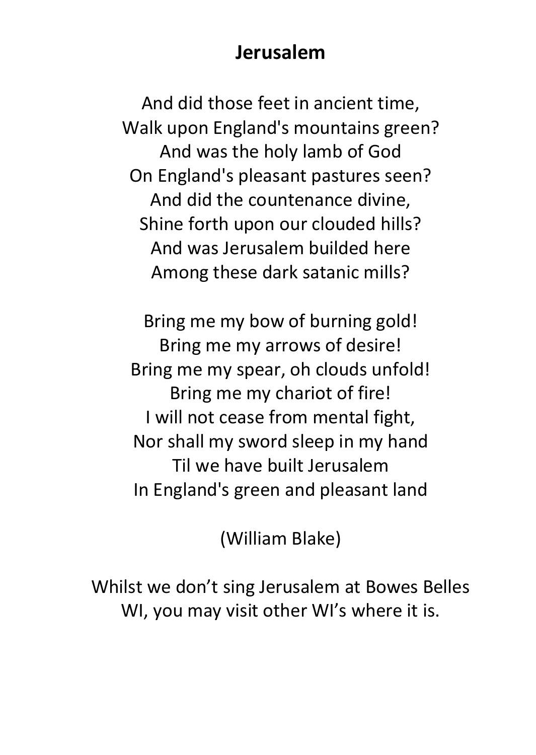#### **Jerusalem**

And did those feet in ancient time, Walk upon England's mountains green? And was the holy lamb of God On England's pleasant pastures seen? And did the countenance divine, Shine forth upon our clouded hills? And was Jerusalem builded here Among these dark satanic mills?

Bring me my bow of burning gold! Bring me my arrows of desire! Bring me my spear, oh clouds unfold! Bring me my chariot of fire! I will not cease from mental fight, Nor shall my sword sleep in my hand Til we have built Jerusalem In England's green and pleasant land

(William Blake)

Whilst we don't sing Jerusalem at Bowes Belles WI, you may visit other WI's where it is.